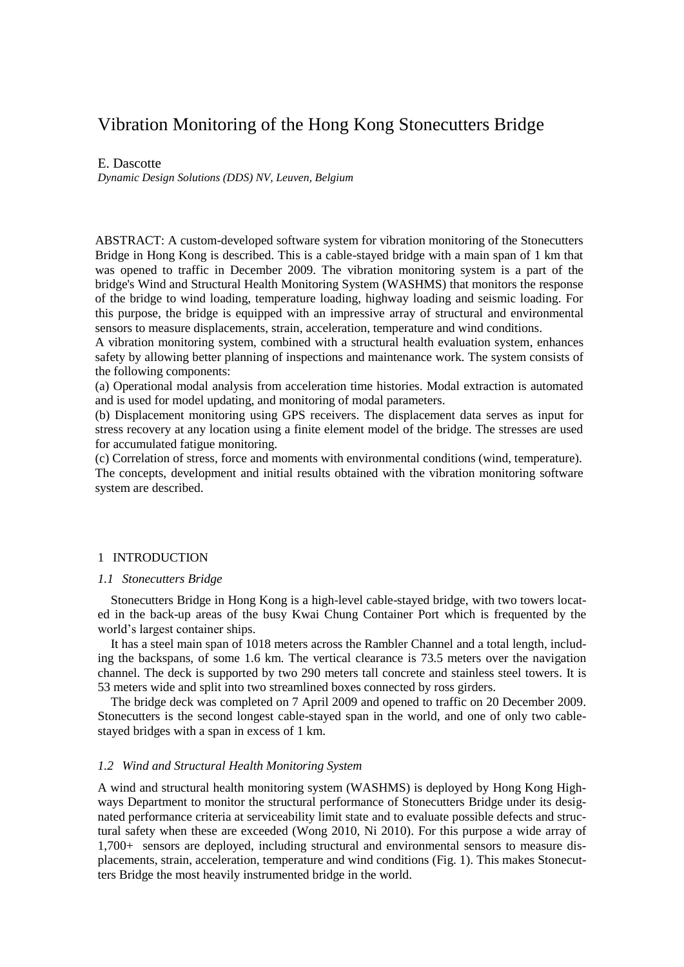# Vibration Monitoring of the Hong Kong Stonecutters Bridge

E. Dascotte

*Dynamic Design Solutions (DDS) NV, Leuven, Belgium*

ABSTRACT: A custom-developed software system for vibration monitoring of the Stonecutters Bridge in Hong Kong is described. This is a cable-stayed bridge with a main span of 1 km that was opened to traffic in December 2009. The vibration monitoring system is a part of the bridge's Wind and Structural Health Monitoring System (WASHMS) that monitors the response of the bridge to wind loading, temperature loading, highway loading and seismic loading. For this purpose, the bridge is equipped with an impressive array of structural and environmental sensors to measure displacements, strain, acceleration, temperature and wind conditions.

A vibration monitoring system, combined with a structural health evaluation system, enhances safety by allowing better planning of inspections and maintenance work. The system consists of the following components:

(a) Operational modal analysis from acceleration time histories. Modal extraction is automated and is used for model updating, and monitoring of modal parameters.

(b) Displacement monitoring using GPS receivers. The displacement data serves as input for stress recovery at any location using a finite element model of the bridge. The stresses are used for accumulated fatigue monitoring.

(c) Correlation of stress, force and moments with environmental conditions (wind, temperature). The concepts, development and initial results obtained with the vibration monitoring software system are described.

## 1 INTRODUCTION

### *1.1 Stonecutters Bridge*

Stonecutters Bridge in Hong Kong is a high-level cable-stayed bridge, with two towers located in the back-up areas of the busy Kwai Chung Container Port which is frequented by the world's largest container ships.

It has a steel main span of 1018 meters across the Rambler Channel and a total length, including the backspans, of some 1.6 km. The vertical clearance is 73.5 meters over the navigation channel. The deck is supported by two 290 meters tall concrete and stainless steel towers. It is 53 meters wide and split into two streamlined boxes connected by ross girders.

The bridge deck was completed on 7 April 2009 and opened to traffic on 20 December 2009. Stonecutters is the second longest cable-stayed span in the world, and one of only two cablestayed bridges with a span in excess of 1 km.

## *1.2 Wind and Structural Health Monitoring System*

A wind and structural health monitoring system (WASHMS) is deployed by Hong Kong Highways Department to monitor the structural performance of Stonecutters Bridge under its designated performance criteria at serviceability limit state and to evaluate possible defects and structural safety when these are exceeded (Wong 2010, Ni 2010). For this purpose a wide array of 1,700+ sensors are deployed, including structural and environmental sensors to measure displacements, strain, acceleration, temperature and wind conditions (Fig. 1). This makes Stonecutters Bridge the most heavily instrumented bridge in the world.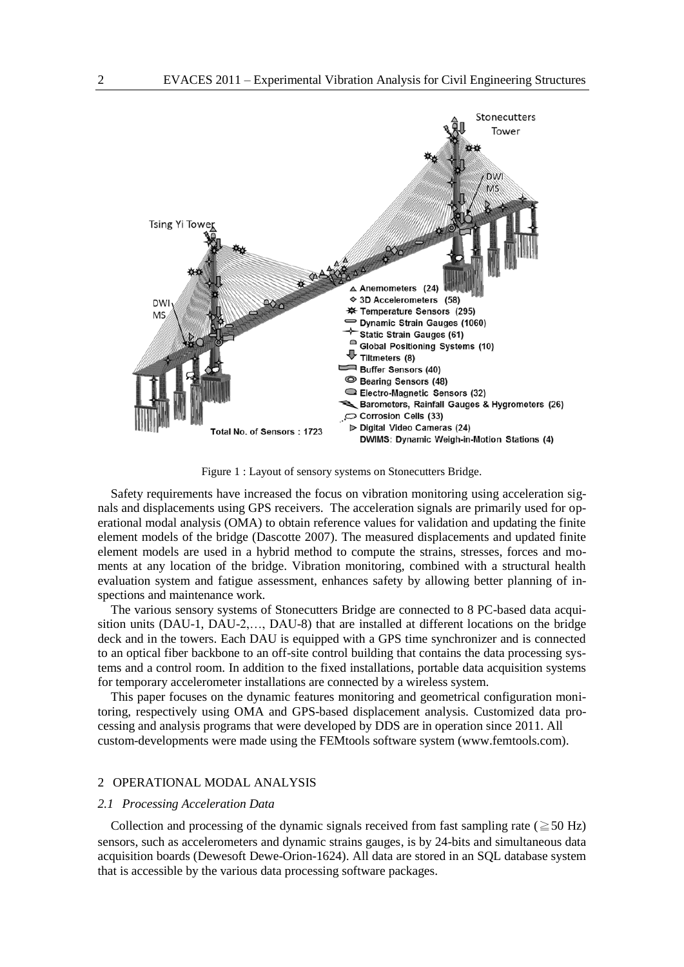

Figure 1 : Layout of sensory systems on Stonecutters Bridge.

Safety requirements have increased the focus on vibration monitoring using acceleration signals and displacements using GPS receivers. The acceleration signals are primarily used for operational modal analysis (OMA) to obtain reference values for validation and updating the finite element models of the bridge (Dascotte 2007). The measured displacements and updated finite element models are used in a hybrid method to compute the strains, stresses, forces and moments at any location of the bridge. Vibration monitoring, combined with a structural health evaluation system and fatigue assessment, enhances safety by allowing better planning of inspections and maintenance work.

The various sensory systems of Stonecutters Bridge are connected to 8 PC-based data acquisition units (DAU-1, DAU-2,…, DAU-8) that are installed at different locations on the bridge deck and in the towers. Each DAU is equipped with a GPS time synchronizer and is connected to an optical fiber backbone to an off-site control building that contains the data processing systems and a control room. In addition to the fixed installations, portable data acquisition systems for temporary accelerometer installations are connected by a wireless system.

This paper focuses on the dynamic features monitoring and geometrical configuration monitoring, respectively using OMA and GPS-based displacement analysis. Customized data processing and analysis programs that were developed by DDS are in operation since 2011. All custom-developments were made using the FEMtools software system (www.femtools.com).

#### 2 OPERATIONAL MODAL ANALYSIS

#### *2.1 Processing Acceleration Data*

Collection and processing of the dynamic signals received from fast sampling rate ( $\geq$  50 Hz) sensors, such as accelerometers and dynamic strains gauges, is by 24-bits and simultaneous data acquisition boards (Dewesoft Dewe-Orion-1624). All data are stored in an SQL database system that is accessible by the various data processing software packages.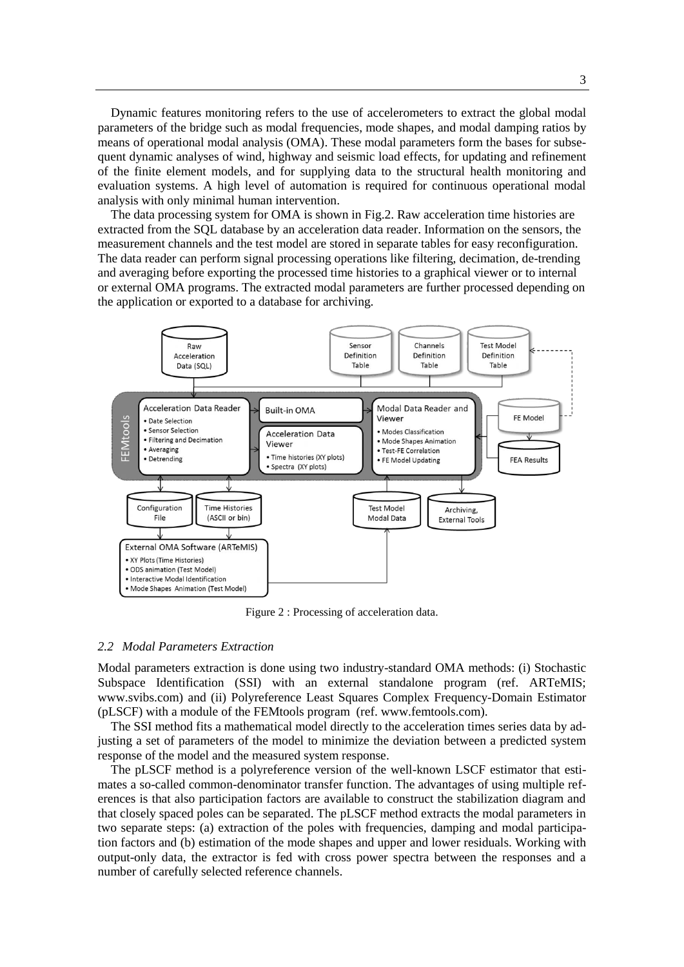Dynamic features monitoring refers to the use of accelerometers to extract the global modal parameters of the bridge such as modal frequencies, mode shapes, and modal damping ratios by means of operational modal analysis (OMA). These modal parameters form the bases for subsequent dynamic analyses of wind, highway and seismic load effects, for updating and refinement of the finite element models, and for supplying data to the structural health monitoring and evaluation systems. A high level of automation is required for continuous operational modal analysis with only minimal human intervention.

The data processing system for OMA is shown in Fig.2. Raw acceleration time histories are extracted from the SQL database by an acceleration data reader. Information on the sensors, the measurement channels and the test model are stored in separate tables for easy reconfiguration. The data reader can perform signal processing operations like filtering, decimation, de-trending and averaging before exporting the processed time histories to a graphical viewer or to internal or external OMA programs. The extracted modal parameters are further processed depending on the application or exported to a database for archiving.



Figure 2 : Processing of acceleration data.

#### *2.2 Modal Parameters Extraction*

Modal parameters extraction is done using two industry-standard OMA methods: (i) Stochastic Subspace Identification (SSI) with an external standalone program (ref. ARTeMIS; www.svibs.com) and (ii) Polyreference Least Squares Complex Frequency-Domain Estimator (pLSCF) with a module of the FEMtools program (ref. www.femtools.com).

The SSI method fits a mathematical model directly to the acceleration times series data by adjusting a set of parameters of the model to minimize the deviation between a predicted system response of the model and the measured system response.

The pLSCF method is a polyreference version of the well-known LSCF estimator that estimates a so-called common-denominator transfer function. The advantages of using multiple references is that also participation factors are available to construct the stabilization diagram and that closely spaced poles can be separated. The pLSCF method extracts the modal parameters in two separate steps: (a) extraction of the poles with frequencies, damping and modal participation factors and (b) estimation of the mode shapes and upper and lower residuals. Working with output-only data, the extractor is fed with cross power spectra between the responses and a number of carefully selected reference channels.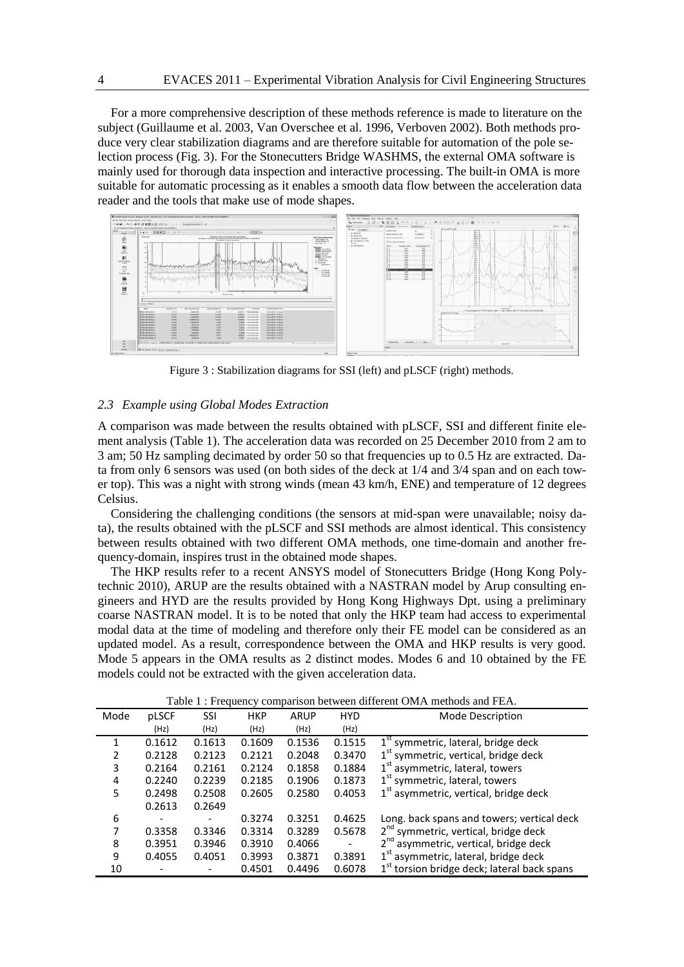For a more comprehensive description of these methods reference is made to literature on the subject (Guillaume et al. 2003, Van Overschee et al. 1996, Verboven 2002). Both methods produce very clear stabilization diagrams and are therefore suitable for automation of the pole selection process (Fig. 3). For the Stonecutters Bridge WASHMS, the external OMA software is mainly used for thorough data inspection and interactive processing. The built-in OMA is more suitable for automatic processing as it enables a smooth data flow between the acceleration data reader and the tools that make use of mode shapes.



Figure 3 : Stabilization diagrams for SSI (left) and pLSCF (right) methods.

## *2.3 Example using Global Modes Extraction*

A comparison was made between the results obtained with pLSCF, SSI and different finite element analysis (Table 1). The acceleration data was recorded on 25 December 2010 from 2 am to 3 am; 50 Hz sampling decimated by order 50 so that frequencies up to 0.5 Hz are extracted. Data from only 6 sensors was used (on both sides of the deck at 1/4 and 3/4 span and on each tower top). This was a night with strong winds (mean 43 km/h, ENE) and temperature of 12 degrees Celsius.

Considering the challenging conditions (the sensors at mid-span were unavailable; noisy data), the results obtained with the pLSCF and SSI methods are almost identical. This consistency between results obtained with two different OMA methods, one time-domain and another frequency-domain, inspires trust in the obtained mode shapes.

The HKP results refer to a recent ANSYS model of Stonecutters Bridge (Hong Kong Polytechnic 2010), ARUP are the results obtained with a NASTRAN model by Arup consulting engineers and HYD are the results provided by Hong Kong Highways Dpt. using a preliminary coarse NASTRAN model. It is to be noted that only the HKP team had access to experimental modal data at the time of modeling and therefore only their FE model can be considered as an updated model. As a result, correspondence between the OMA and HKP results is very good. Mode 5 appears in the OMA results as 2 distinct modes. Modes 6 and 10 obtained by the FE models could not be extracted with the given acceleration data.

| Table T: Frequency comparison between different OMA methods and FEA. |        |        |            |        |            |                                                         |  |
|----------------------------------------------------------------------|--------|--------|------------|--------|------------|---------------------------------------------------------|--|
| Mode                                                                 | pLSCF  | SSI    | <b>HKP</b> | ARUP   | <b>HYD</b> | Mode Description                                        |  |
|                                                                      | (Hz)   | (Hz)   | (Hz)       | (Hz)   | (Hz)       |                                                         |  |
| 1                                                                    | 0.1612 | 0.1613 | 0.1609     | 0.1536 | 0.1515     | $1st$ symmetric, lateral, bridge deck                   |  |
| 2                                                                    | 0.2128 | 0.2123 | 0.2121     | 0.2048 | 0.3470     | $1st$ symmetric, vertical, bridge deck                  |  |
| 3                                                                    | 0.2164 | 0.2161 | 0.2124     | 0.1858 | 0.1884     | 1 <sup>st</sup> asymmetric, lateral, towers             |  |
| 4                                                                    | 0.2240 | 0.2239 | 0.2185     | 0.1906 | 0.1873     | 1 <sup>st</sup> symmetric, lateral, towers              |  |
| 5                                                                    | 0.2498 | 0.2508 | 0.2605     | 0.2580 | 0.4053     | $1st$ asymmetric, vertical, bridge deck                 |  |
|                                                                      | 0.2613 | 0.2649 |            |        |            |                                                         |  |
| 6                                                                    |        |        | 0.3274     | 0.3251 | 0.4625     | Long. back spans and towers; vertical deck              |  |
|                                                                      | 0.3358 | 0.3346 | 0.3314     | 0.3289 | 0.5678     | 2 <sup>nd</sup> symmetric, vertical, bridge deck        |  |
| 8                                                                    | 0.3951 | 0.3946 | 0.3910     | 0.4066 |            | 2 <sup>nd</sup> asymmetric, vertical, bridge deck       |  |
| 9                                                                    | 0.4055 | 0.4051 | 0.3993     | 0.3871 | 0.3891     | $1st$ asymmetric, lateral, bridge deck                  |  |
| 10                                                                   |        |        | 0.4501     | 0.4496 | 0.6078     | 1 <sup>st</sup> torsion bridge deck; lateral back spans |  |

Table 1 : Frequency comparison between different OMA methods and FEA.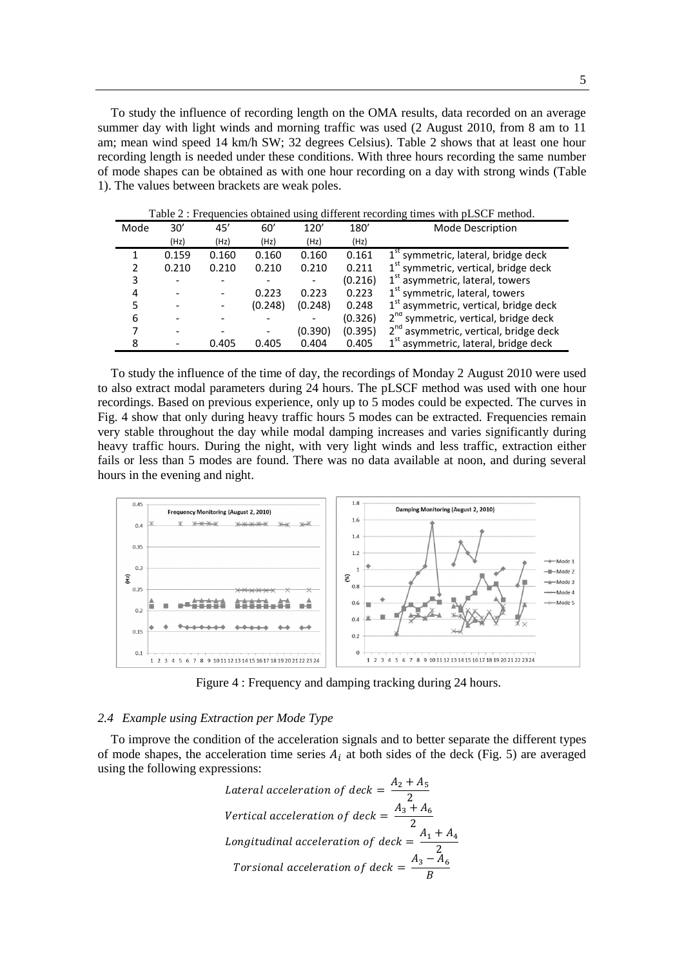To study the influence of recording length on the OMA results, data recorded on an average summer day with light winds and morning traffic was used (2 August 2010, from 8 am to 11 am; mean wind speed 14 km/h SW; 32 degrees Celsius). Table 2 shows that at least one hour recording length is needed under these conditions. With three hours recording the same number of mode shapes can be obtained as with one hour recording on a day with strong winds (Table 1). The values between brackets are weak poles.

| Mode | 30'   | 45'   | 60'     | 120'    | 180     | Mode Description                                  |
|------|-------|-------|---------|---------|---------|---------------------------------------------------|
|      | (Hz)  | (Hz)  | (Hz)    | (Hz)    | (Hz)    |                                                   |
|      | 0.159 | 0.160 | 0.160   | 0.160   | 0.161   | 1 <sup>st</sup> symmetric, lateral, bridge deck   |
|      | 0.210 | 0.210 | 0.210   | 0.210   | 0.211   | 1 <sup>st</sup> symmetric, vertical, bridge deck  |
| 3    |       |       |         |         | (0.216) | 1 <sup>st</sup> asymmetric, lateral, towers       |
| 4    |       |       | 0.223   | 0.223   | 0.223   | 1 <sup>st</sup> symmetric, lateral, towers        |
|      | -     |       | (0.248) | (0.248) | 0.248   | 1 <sup>st</sup> asymmetric, vertical, bridge deck |
| 6    |       |       |         |         | (0.326) | 2 <sup>nd</sup> symmetric, vertical, bridge deck  |
|      |       |       |         | (0.390) | (0.395) | 2 <sup>nd</sup> asymmetric, vertical, bridge deck |
| 8    |       | 0.405 | 0.405   | 0.404   | 0.405   | 1 <sup>st</sup> asymmetric, lateral, bridge deck  |

Table 2 : Frequencies obtained using different recording times with pLSCF method.

To study the influence of the time of day, the recordings of Monday 2 August 2010 were used to also extract modal parameters during 24 hours. The pLSCF method was used with one hour recordings. Based on previous experience, only up to 5 modes could be expected. The curves in Fig. 4 show that only during heavy traffic hours 5 modes can be extracted. Frequencies remain very stable throughout the day while modal damping increases and varies significantly during heavy traffic hours. During the night, with very light winds and less traffic, extraction either fails or less than 5 modes are found. There was no data available at noon, and during several hours in the evening and night.



Figure 4 : Frequency and damping tracking during 24 hours.

#### *2.4 Example using Extraction per Mode Type*

To improve the condition of the acceleration signals and to better separate the different types of mode shapes, the acceleration time series  $A_i$  at both sides of the deck (Fig. 5) are averaged using the following expressions:

Lateral acceleration of deck =

\n
$$
\frac{A_2 + A_5}{2}
$$
\nVertical acceleration of deck =

\n
$$
\frac{A_3 + A_6}{2}
$$
\nLongitudinal acceleration of deck =

\n
$$
\frac{A_1 + A_4}{2}
$$
\nTorsional acceleration of deck =

\n
$$
\frac{A_3 - A_6}{B}
$$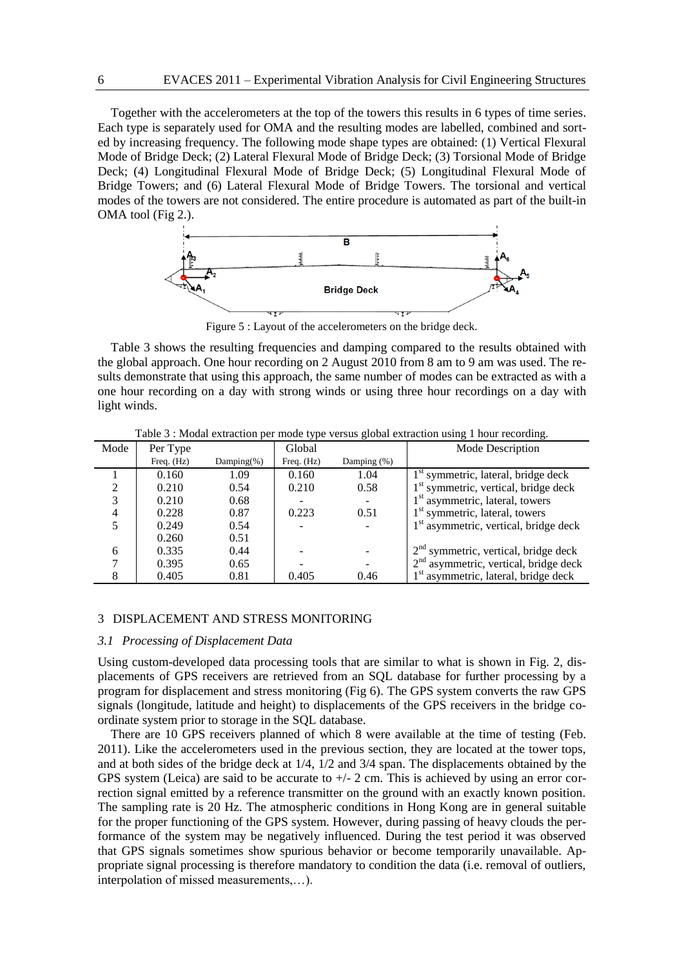Together with the accelerometers at the top of the towers this results in 6 types of time series. Each type is separately used for OMA and the resulting modes are labelled, combined and sorted by increasing frequency. The following mode shape types are obtained: (1) Vertical Flexural Mode of Bridge Deck; (2) Lateral Flexural Mode of Bridge Deck; (3) Torsional Mode of Bridge Deck; (4) Longitudinal Flexural Mode of Bridge Deck; (5) Longitudinal Flexural Mode of Bridge Towers; and (6) Lateral Flexural Mode of Bridge Towers. The torsional and vertical modes of the towers are not considered. The entire procedure is automated as part of the built-in OMA tool (Fig 2.).



Figure 5 : Layout of the accelerometers on the bridge deck.

Table 3 shows the resulting frequencies and damping compared to the results obtained with the global approach. One hour recording on 2 August 2010 from 8 am to 9 am was used. The results demonstrate that using this approach, the same number of modes can be extracted as with a one hour recording on a day with strong winds or using three hour recordings on a day with light winds.

|           | $\cdots$   |                |            |                |                                                   |  |  |  |  |  |
|-----------|------------|----------------|------------|----------------|---------------------------------------------------|--|--|--|--|--|
| Mode      | Per Type   |                | Global     |                | Mode Description                                  |  |  |  |  |  |
|           | Freq. (Hz) | Damping $(\%)$ | Freq. (Hz) | Damping $(\%)$ |                                                   |  |  |  |  |  |
|           | 0.160      | 1.09           | 0.160      | 1.04           | $1st$ symmetric, lateral, bridge deck             |  |  |  |  |  |
| $\bigcap$ | 0.210      | 0.54           | 0.210      | 0.58           | $1st$ symmetric, vertical, bridge deck            |  |  |  |  |  |
| 3         | 0.210      | 0.68           |            |                | $1st$ asymmetric, lateral, towers                 |  |  |  |  |  |
| 4         | 0.228      | 0.87           | 0.223      | 0.51           | $1st$ symmetric, lateral, towers                  |  |  |  |  |  |
|           | 0.249      | 0.54           |            |                | 1 <sup>st</sup> asymmetric, vertical, bridge deck |  |  |  |  |  |
|           | 0.260      | 0.51           |            |                |                                                   |  |  |  |  |  |
| 6         | 0.335      | 0.44           |            |                | $2nd$ symmetric, vertical, bridge deck            |  |  |  |  |  |
|           | 0.395      | 0.65           |            |                | $2nd$ asymmetric, vertical, bridge deck           |  |  |  |  |  |
|           | 0.405      | 0.81           | 0.405      | 0.46           | $1st$ asymmetric, lateral, bridge deck            |  |  |  |  |  |

Table 3 : Modal extraction per mode type versus global extraction using 1 hour recording.

### 3 DISPLACEMENT AND STRESS MONITORING

#### *3.1 Processing of Displacement Data*

Using custom-developed data processing tools that are similar to what is shown in Fig. 2, displacements of GPS receivers are retrieved from an SQL database for further processing by a program for displacement and stress monitoring (Fig 6). The GPS system converts the raw GPS signals (longitude, latitude and height) to displacements of the GPS receivers in the bridge coordinate system prior to storage in the SQL database.

There are 10 GPS receivers planned of which 8 were available at the time of testing (Feb. 2011). Like the accelerometers used in the previous section, they are located at the tower tops, and at both sides of the bridge deck at 1/4, 1/2 and 3/4 span. The displacements obtained by the GPS system (Leica) are said to be accurate to  $+/- 2$  cm. This is achieved by using an error correction signal emitted by a reference transmitter on the ground with an exactly known position. The sampling rate is 20 Hz. The atmospheric conditions in Hong Kong are in general suitable for the proper functioning of the GPS system. However, during passing of heavy clouds the performance of the system may be negatively influenced. During the test period it was observed that GPS signals sometimes show spurious behavior or become temporarily unavailable. Appropriate signal processing is therefore mandatory to condition the data (i.e. removal of outliers, interpolation of missed measurements,…).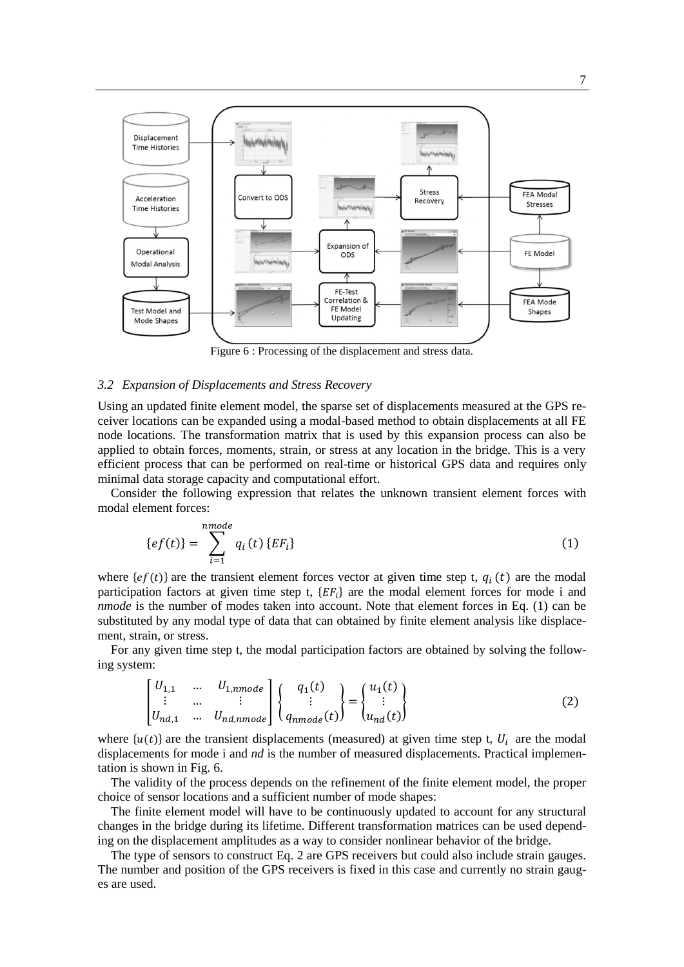

Figure 6 : Processing of the displacement and stress data.

## *3.2 Expansion of Displacements and Stress Recovery*

Using an updated finite element model, the sparse set of displacements measured at the GPS receiver locations can be expanded using a modal-based method to obtain displacements at all FE node locations. The transformation matrix that is used by this expansion process can also be applied to obtain forces, moments, strain, or stress at any location in the bridge. This is a very efficient process that can be performed on real-time or historical GPS data and requires only minimal data storage capacity and computational effort.

Consider the following expression that relates the unknown transient element forces with modal element forces:

$$
\{ef(t)\} = \sum_{i=1}^{nmode} q_i(t) \{EF_i\} \tag{1}
$$

where  $\{ef(t)\}$  are the transient element forces vector at given time step t,  $q_i(t)$  are the modal participation factors at given time step t,  ${E}F_t$  are the modal element forces for mode i and *nmode* is the number of modes taken into account. Note that element forces in Eq. (1) can be substituted by any modal type of data that can obtained by finite element analysis like displacement, strain, or stress.

For any given time step t, the modal participation factors are obtained by solving the following system:

$$
\begin{bmatrix}\nU_{1,1} & \dots & U_{1,nmode} \\
\vdots & \dots & \vdots \\
U_{nd,1} & \dots & U_{nd,nmode}\n\end{bmatrix}\n\begin{Bmatrix}\nq_1(t) \\
\vdots \\
q_{nmode}(t)\n\end{Bmatrix} =\n\begin{Bmatrix}\nu_1(t) \\
\vdots \\
u_{nd}(t)\n\end{Bmatrix}
$$
\n(2)

where  $\{u(t)\}\$ are the transient displacements (measured) at given time step t,  $U_i$  are the modal displacements for mode i and *nd* is the number of measured displacements. Practical implementation is shown in Fig. 6.

The validity of the process depends on the refinement of the finite element model, the proper choice of sensor locations and a sufficient number of mode shapes:

The finite element model will have to be continuously updated to account for any structural changes in the bridge during its lifetime. Different transformation matrices can be used depending on the displacement amplitudes as a way to consider nonlinear behavior of the bridge.

The type of sensors to construct Eq. 2 are GPS receivers but could also include strain gauges. The number and position of the GPS receivers is fixed in this case and currently no strain gauges are used.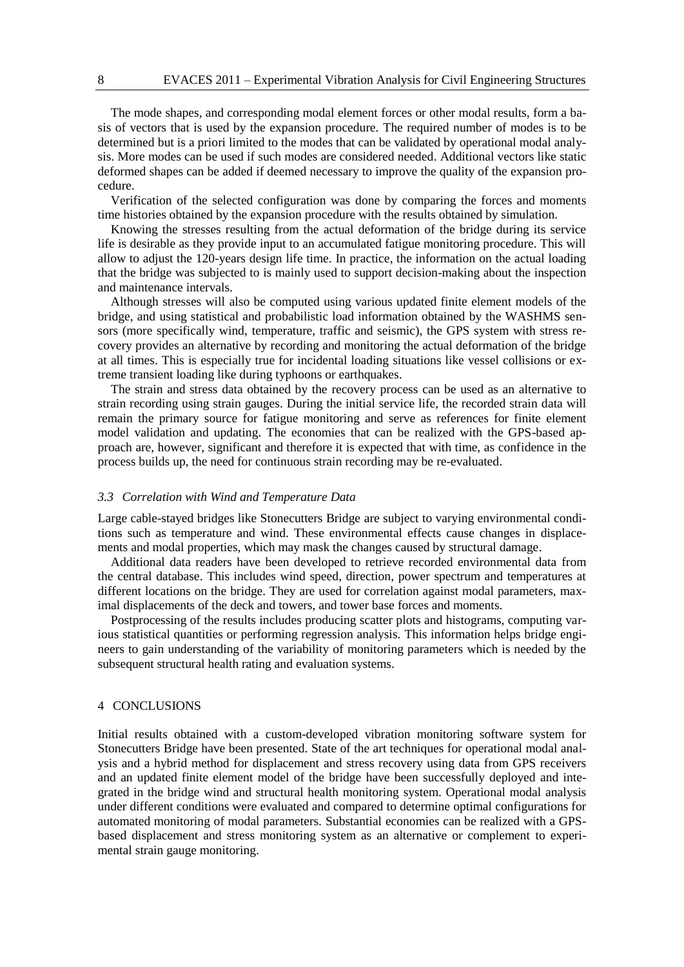The mode shapes, and corresponding modal element forces or other modal results, form a basis of vectors that is used by the expansion procedure. The required number of modes is to be determined but is a priori limited to the modes that can be validated by operational modal analysis. More modes can be used if such modes are considered needed. Additional vectors like static deformed shapes can be added if deemed necessary to improve the quality of the expansion procedure.

Verification of the selected configuration was done by comparing the forces and moments time histories obtained by the expansion procedure with the results obtained by simulation.

Knowing the stresses resulting from the actual deformation of the bridge during its service life is desirable as they provide input to an accumulated fatigue monitoring procedure. This will allow to adjust the 120-years design life time. In practice, the information on the actual loading that the bridge was subjected to is mainly used to support decision-making about the inspection and maintenance intervals.

Although stresses will also be computed using various updated finite element models of the bridge, and using statistical and probabilistic load information obtained by the WASHMS sensors (more specifically wind, temperature, traffic and seismic), the GPS system with stress recovery provides an alternative by recording and monitoring the actual deformation of the bridge at all times. This is especially true for incidental loading situations like vessel collisions or extreme transient loading like during typhoons or earthquakes.

The strain and stress data obtained by the recovery process can be used as an alternative to strain recording using strain gauges. During the initial service life, the recorded strain data will remain the primary source for fatigue monitoring and serve as references for finite element model validation and updating. The economies that can be realized with the GPS-based approach are, however, significant and therefore it is expected that with time, as confidence in the process builds up, the need for continuous strain recording may be re-evaluated.

# *3.3 Correlation with Wind and Temperature Data*

Large cable-stayed bridges like Stonecutters Bridge are subject to varying environmental conditions such as temperature and wind. These environmental effects cause changes in displacements and modal properties, which may mask the changes caused by structural damage.

Additional data readers have been developed to retrieve recorded environmental data from the central database. This includes wind speed, direction, power spectrum and temperatures at different locations on the bridge. They are used for correlation against modal parameters, maximal displacements of the deck and towers, and tower base forces and moments.

Postprocessing of the results includes producing scatter plots and histograms, computing various statistical quantities or performing regression analysis. This information helps bridge engineers to gain understanding of the variability of monitoring parameters which is needed by the subsequent structural health rating and evaluation systems.

# 4 CONCLUSIONS

Initial results obtained with a custom-developed vibration monitoring software system for Stonecutters Bridge have been presented. State of the art techniques for operational modal analysis and a hybrid method for displacement and stress recovery using data from GPS receivers and an updated finite element model of the bridge have been successfully deployed and integrated in the bridge wind and structural health monitoring system. Operational modal analysis under different conditions were evaluated and compared to determine optimal configurations for automated monitoring of modal parameters. Substantial economies can be realized with a GPSbased displacement and stress monitoring system as an alternative or complement to experimental strain gauge monitoring.